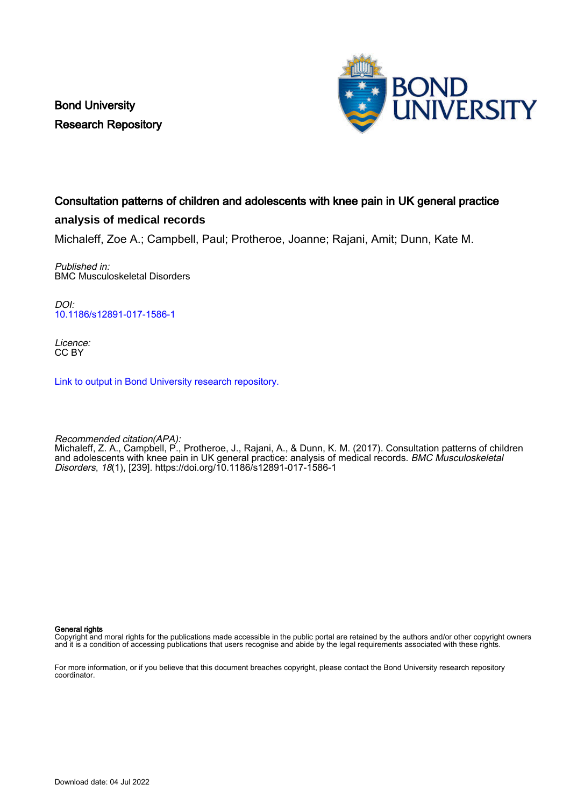Bond University Research Repository



# Consultation patterns of children and adolescents with knee pain in UK general practice

# **analysis of medical records**

Michaleff, Zoe A.; Campbell, Paul; Protheroe, Joanne; Rajani, Amit; Dunn, Kate M.

Published in: BMC Musculoskeletal Disorders

DOI: [10.1186/s12891-017-1586-1](https://doi.org/10.1186/s12891-017-1586-1)

Licence: CC BY

[Link to output in Bond University research repository.](https://research.bond.edu.au/en/publications/e8b8f9f3-74b0-44f6-b555-f903a4599221)

Recommended citation(APA): Michaleff, Z. A., Campbell, P., Protheroe, J., Rajani, A., & Dunn, K. M. (2017). Consultation patterns of children and adolescents with knee pain in UK general practice: analysis of medical records. *BMC Musculoskeletal* Disorders, 18(1), [239]. <https://doi.org/10.1186/s12891-017-1586-1>

#### General rights

Copyright and moral rights for the publications made accessible in the public portal are retained by the authors and/or other copyright owners and it is a condition of accessing publications that users recognise and abide by the legal requirements associated with these rights.

For more information, or if you believe that this document breaches copyright, please contact the Bond University research repository coordinator.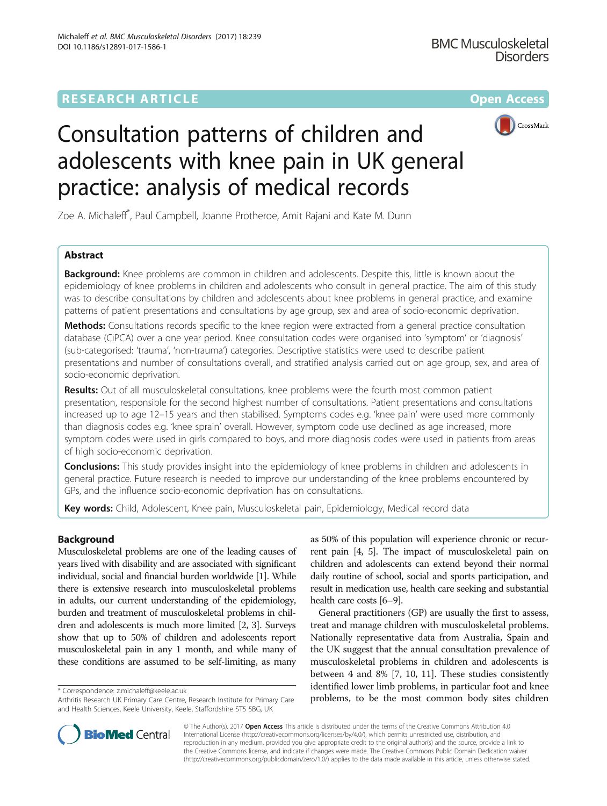# **RESEARCH ARTICLE Example 2014 12:30 The Contract of Contract ACCESS**



# Consultation patterns of children and adolescents with knee pain in UK general practice: analysis of medical records

Zoe A. Michaleff\* , Paul Campbell, Joanne Protheroe, Amit Rajani and Kate M. Dunn

# Abstract

**Background:** Knee problems are common in children and adolescents. Despite this, little is known about the epidemiology of knee problems in children and adolescents who consult in general practice. The aim of this study was to describe consultations by children and adolescents about knee problems in general practice, and examine patterns of patient presentations and consultations by age group, sex and area of socio-economic deprivation.

Methods: Consultations records specific to the knee region were extracted from a general practice consultation database (CiPCA) over a one year period. Knee consultation codes were organised into 'symptom' or 'diagnosis' (sub-categorised: 'trauma', 'non-trauma') categories. Descriptive statistics were used to describe patient presentations and number of consultations overall, and stratified analysis carried out on age group, sex, and area of socio-economic deprivation.

Results: Out of all musculoskeletal consultations, knee problems were the fourth most common patient presentation, responsible for the second highest number of consultations. Patient presentations and consultations increased up to age 12–15 years and then stabilised. Symptoms codes e.g. 'knee pain' were used more commonly than diagnosis codes e.g. 'knee sprain' overall. However, symptom code use declined as age increased, more symptom codes were used in girls compared to boys, and more diagnosis codes were used in patients from areas of high socio-economic deprivation.

**Conclusions:** This study provides insight into the epidemiology of knee problems in children and adolescents in general practice. Future research is needed to improve our understanding of the knee problems encountered by GPs, and the influence socio-economic deprivation has on consultations.

Key words: Child, Adolescent, Knee pain, Musculoskeletal pain, Epidemiology, Medical record data

# Background

Musculoskeletal problems are one of the leading causes of years lived with disability and are associated with significant individual, social and financial burden worldwide [\[1\]](#page-11-0). While there is extensive research into musculoskeletal problems in adults, our current understanding of the epidemiology, burden and treatment of musculoskeletal problems in children and adolescents is much more limited [\[2, 3\]](#page-11-0). Surveys show that up to 50% of children and adolescents report musculoskeletal pain in any 1 month, and while many of these conditions are assumed to be self-limiting, as many

as 50% of this population will experience chronic or recurrent pain [\[4, 5](#page-11-0)]. The impact of musculoskeletal pain on children and adolescents can extend beyond their normal daily routine of school, social and sports participation, and result in medication use, health care seeking and substantial health care costs [\[6](#page-11-0)–[9](#page-11-0)].

General practitioners (GP) are usually the first to assess, treat and manage children with musculoskeletal problems. Nationally representative data from Australia, Spain and the UK suggest that the annual consultation prevalence of musculoskeletal problems in children and adolescents is between 4 and 8% [\[7](#page-11-0), [10, 11](#page-11-0)]. These studies consistently identified lower limb problems, in particular foot and knee orrespondence: zmichaleff@keele.ac.uk<br>Arthritis Research UK Primary Care Centre. Research Institute for Primary Care **\* problems, to be the most common body sites children** 



© The Author(s). 2017 **Open Access** This article is distributed under the terms of the Creative Commons Attribution 4.0 International License [\(http://creativecommons.org/licenses/by/4.0/](http://creativecommons.org/licenses/by/4.0/)), which permits unrestricted use, distribution, and reproduction in any medium, provided you give appropriate credit to the original author(s) and the source, provide a link to the Creative Commons license, and indicate if changes were made. The Creative Commons Public Domain Dedication waiver [\(http://creativecommons.org/publicdomain/zero/1.0/](http://creativecommons.org/publicdomain/zero/1.0/)) applies to the data made available in this article, unless otherwise stated.

Arthritis Research UK Primary Care Centre, Research Institute for Primary Care and Health Sciences, Keele University, Keele, Staffordshire ST5 5BG, UK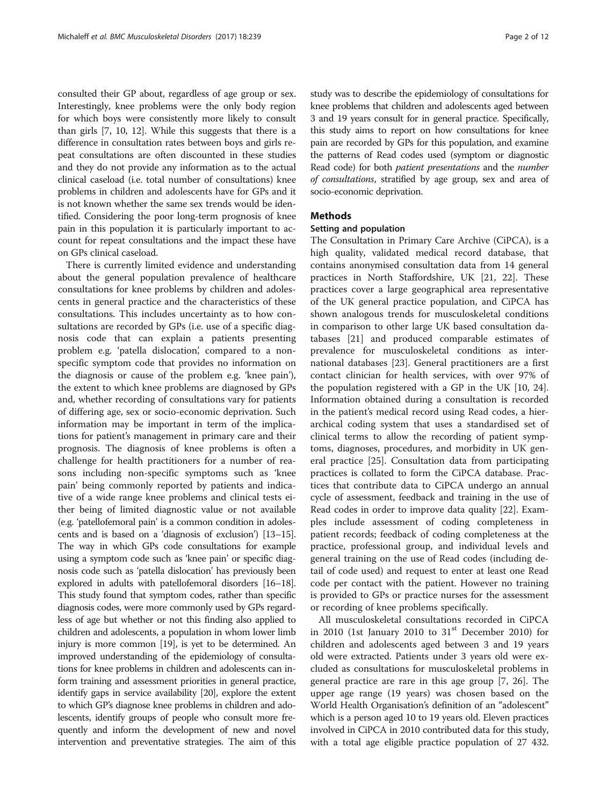consulted their GP about, regardless of age group or sex. Interestingly, knee problems were the only body region for which boys were consistently more likely to consult than girls [[7](#page-11-0), [10](#page-11-0), [12\]](#page-11-0). While this suggests that there is a difference in consultation rates between boys and girls repeat consultations are often discounted in these studies and they do not provide any information as to the actual clinical caseload (i.e. total number of consultations) knee problems in children and adolescents have for GPs and it is not known whether the same sex trends would be identified. Considering the poor long-term prognosis of knee pain in this population it is particularly important to account for repeat consultations and the impact these have on GPs clinical caseload.

There is currently limited evidence and understanding about the general population prevalence of healthcare consultations for knee problems by children and adolescents in general practice and the characteristics of these consultations. This includes uncertainty as to how consultations are recorded by GPs (i.e. use of a specific diagnosis code that can explain a patients presenting problem e.g. 'patella dislocation', compared to a nonspecific symptom code that provides no information on the diagnosis or cause of the problem e.g. 'knee pain'), the extent to which knee problems are diagnosed by GPs and, whether recording of consultations vary for patients of differing age, sex or socio-economic deprivation. Such information may be important in term of the implications for patient's management in primary care and their prognosis. The diagnosis of knee problems is often a challenge for health practitioners for a number of reasons including non-specific symptoms such as 'knee pain' being commonly reported by patients and indicative of a wide range knee problems and clinical tests either being of limited diagnostic value or not available (e.g. 'patellofemoral pain' is a common condition in adolescents and is based on a 'diagnosis of exclusion') [[13](#page-11-0)–[15](#page-11-0)]. The way in which GPs code consultations for example using a symptom code such as 'knee pain' or specific diagnosis code such as 'patella dislocation' has previously been explored in adults with patellofemoral disorders [[16](#page-11-0)–[18](#page-11-0)]. This study found that symptom codes, rather than specific diagnosis codes, were more commonly used by GPs regardless of age but whether or not this finding also applied to children and adolescents, a population in whom lower limb injury is more common [[19](#page-11-0)], is yet to be determined. An improved understanding of the epidemiology of consultations for knee problems in children and adolescents can inform training and assessment priorities in general practice, identify gaps in service availability [[20](#page-11-0)], explore the extent to which GP's diagnose knee problems in children and adolescents, identify groups of people who consult more frequently and inform the development of new and novel intervention and preventative strategies. The aim of this study was to describe the epidemiology of consultations for knee problems that children and adolescents aged between 3 and 19 years consult for in general practice. Specifically, this study aims to report on how consultations for knee pain are recorded by GPs for this population, and examine the patterns of Read codes used (symptom or diagnostic Read code) for both patient presentations and the number of consultations, stratified by age group, sex and area of socio-economic deprivation.

### Methods

#### Setting and population

The Consultation in Primary Care Archive (CiPCA), is a high quality, validated medical record database, that contains anonymised consultation data from 14 general practices in North Staffordshire, UK [[21, 22\]](#page-11-0). These practices cover a large geographical area representative of the UK general practice population, and CiPCA has shown analogous trends for musculoskeletal conditions in comparison to other large UK based consultation databases [[21\]](#page-11-0) and produced comparable estimates of prevalence for musculoskeletal conditions as international databases [\[23](#page-11-0)]. General practitioners are a first contact clinician for health services, with over 97% of the population registered with a GP in the UK [[10, 24](#page-11-0)]. Information obtained during a consultation is recorded in the patient's medical record using Read codes, a hierarchical coding system that uses a standardised set of clinical terms to allow the recording of patient symptoms, diagnoses, procedures, and morbidity in UK general practice [\[25\]](#page-11-0). Consultation data from participating practices is collated to form the CiPCA database. Practices that contribute data to CiPCA undergo an annual cycle of assessment, feedback and training in the use of Read codes in order to improve data quality [[22](#page-11-0)]. Examples include assessment of coding completeness in patient records; feedback of coding completeness at the practice, professional group, and individual levels and general training on the use of Read codes (including detail of code used) and request to enter at least one Read code per contact with the patient. However no training is provided to GPs or practice nurses for the assessment or recording of knee problems specifically.

All musculoskeletal consultations recorded in CiPCA in 2010 (1st January 2010 to  $31<sup>st</sup>$  December 2010) for children and adolescents aged between 3 and 19 years old were extracted. Patients under 3 years old were excluded as consultations for musculoskeletal problems in general practice are rare in this age group [[7, 26\]](#page-11-0). The upper age range (19 years) was chosen based on the World Health Organisation's definition of an "adolescent" which is a person aged 10 to 19 years old. Eleven practices involved in CiPCA in 2010 contributed data for this study, with a total age eligible practice population of 27 432.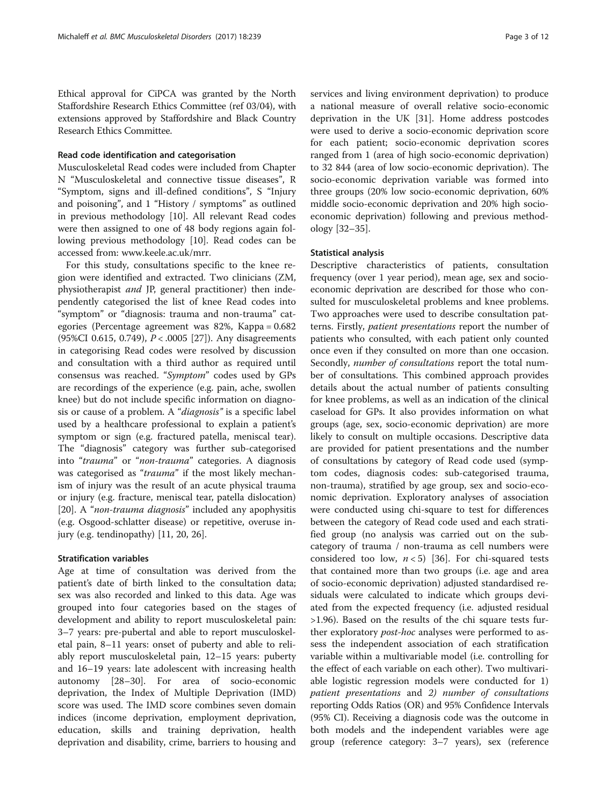Ethical approval for CiPCA was granted by the North Staffordshire Research Ethics Committee (ref 03/04), with extensions approved by Staffordshire and Black Country Research Ethics Committee.

#### Read code identification and categorisation

Musculoskeletal Read codes were included from Chapter N "Musculoskeletal and connective tissue diseases", R "Symptom, signs and ill-defined conditions", S "Injury and poisoning", and 1 "History / symptoms" as outlined in previous methodology [[10](#page-11-0)]. All relevant Read codes were then assigned to one of 48 body regions again following previous methodology [\[10](#page-11-0)]. Read codes can be accessed from: [www.keele.ac.uk/mrr](http://www.keele.ac.uk/mrr).

For this study, consultations specific to the knee region were identified and extracted. Two clinicians (ZM, physiotherapist and JP, general practitioner) then independently categorised the list of knee Read codes into "symptom" or "diagnosis: trauma and non-trauma" categories (Percentage agreement was 82%, Kappa = 0.682 (95%CI 0.615, 0.749), P < .0005 [[27](#page-11-0)]). Any disagreements in categorising Read codes were resolved by discussion and consultation with a third author as required until consensus was reached. "Symptom" codes used by GPs are recordings of the experience (e.g. pain, ache, swollen knee) but do not include specific information on diagnosis or cause of a problem. A "diagnosis" is a specific label used by a healthcare professional to explain a patient's symptom or sign (e.g. fractured patella, meniscal tear). The "diagnosis" category was further sub-categorised into "trauma" or "non-trauma" categories. A diagnosis was categorised as "trauma" if the most likely mechanism of injury was the result of an acute physical trauma or injury (e.g. fracture, meniscal tear, patella dislocation) [[20\]](#page-11-0). A "non-trauma diagnosis" included any apophysitis (e.g. Osgood-schlatter disease) or repetitive, overuse injury (e.g. tendinopathy) [\[11, 20, 26\]](#page-11-0).

#### Stratification variables

Age at time of consultation was derived from the patient's date of birth linked to the consultation data; sex was also recorded and linked to this data. Age was grouped into four categories based on the stages of development and ability to report musculoskeletal pain: 3–7 years: pre-pubertal and able to report musculoskeletal pain, 8–11 years: onset of puberty and able to reliably report musculoskeletal pain, 12–15 years: puberty and 16–19 years: late adolescent with increasing health autonomy [\[28](#page-11-0)–[30\]](#page-11-0). For area of socio-economic deprivation, the Index of Multiple Deprivation (IMD) score was used. The IMD score combines seven domain indices (income deprivation, employment deprivation, education, skills and training deprivation, health deprivation and disability, crime, barriers to housing and services and living environment deprivation) to produce a national measure of overall relative socio-economic deprivation in the UK [[31\]](#page-11-0). Home address postcodes were used to derive a socio-economic deprivation score for each patient; socio-economic deprivation scores ranged from 1 (area of high socio-economic deprivation) to 32 844 (area of low socio-economic deprivation). The socio-economic deprivation variable was formed into three groups (20% low socio-economic deprivation, 60% middle socio-economic deprivation and 20% high socioeconomic deprivation) following and previous methodology [[32](#page-11-0)–[35](#page-12-0)].

#### Statistical analysis

Descriptive characteristics of patients, consultation frequency (over 1 year period), mean age, sex and socioeconomic deprivation are described for those who consulted for musculoskeletal problems and knee problems. Two approaches were used to describe consultation patterns. Firstly, patient presentations report the number of patients who consulted, with each patient only counted once even if they consulted on more than one occasion. Secondly, *number of consultations* report the total number of consultations. This combined approach provides details about the actual number of patients consulting for knee problems, as well as an indication of the clinical caseload for GPs. It also provides information on what groups (age, sex, socio-economic deprivation) are more likely to consult on multiple occasions. Descriptive data are provided for patient presentations and the number of consultations by category of Read code used (symptom codes, diagnosis codes: sub-categorised trauma, non-trauma), stratified by age group, sex and socio-economic deprivation. Exploratory analyses of association were conducted using chi-square to test for differences between the category of Read code used and each stratified group (no analysis was carried out on the subcategory of trauma / non-trauma as cell numbers were considered too low,  $n < 5$  [[36\]](#page-12-0). For chi-squared tests that contained more than two groups (i.e. age and area of socio-economic deprivation) adjusted standardised residuals were calculated to indicate which groups deviated from the expected frequency (i.e. adjusted residual >1.96). Based on the results of the chi square tests further exploratory *post-hoc* analyses were performed to assess the independent association of each stratification variable within a multivariable model (i.e. controlling for the effect of each variable on each other). Two multivariable logistic regression models were conducted for 1) patient presentations and 2) number of consultations reporting Odds Ratios (OR) and 95% Confidence Intervals (95% CI). Receiving a diagnosis code was the outcome in both models and the independent variables were age group (reference category: 3–7 years), sex (reference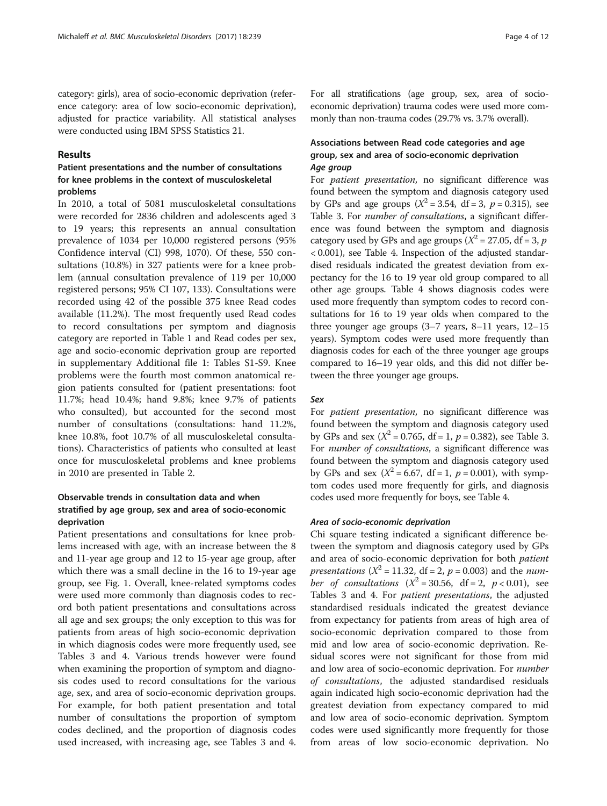category: girls), area of socio-economic deprivation (reference category: area of low socio-economic deprivation), adjusted for practice variability. All statistical analyses were conducted using IBM SPSS Statistics 21.

#### Results

## Patient presentations and the number of consultations for knee problems in the context of musculoskeletal problems

In 2010, a total of 5081 musculoskeletal consultations were recorded for 2836 children and adolescents aged 3 to 19 years; this represents an annual consultation prevalence of 1034 per 10,000 registered persons (95% Confidence interval (CI) 998, 1070). Of these, 550 consultations (10.8%) in 327 patients were for a knee problem (annual consultation prevalence of 119 per 10,000 registered persons; 95% CI 107, 133). Consultations were recorded using 42 of the possible 375 knee Read codes available (11.2%). The most frequently used Read codes to record consultations per symptom and diagnosis category are reported in Table [1](#page-5-0) and Read codes per sex, age and socio-economic deprivation group are reported in supplementary Additional file [1](#page-10-0): Tables S1-S9. Knee problems were the fourth most common anatomical region patients consulted for (patient presentations: foot 11.7%; head 10.4%; hand 9.8%; knee 9.7% of patients who consulted), but accounted for the second most number of consultations (consultations: hand 11.2%, knee 10.8%, foot 10.7% of all musculoskeletal consultations). Characteristics of patients who consulted at least once for musculoskeletal problems and knee problems in 2010 are presented in Table [2](#page-6-0).

## Observable trends in consultation data and when stratified by age group, sex and area of socio-economic deprivation

Patient presentations and consultations for knee problems increased with age, with an increase between the 8 and 11-year age group and 12 to 15-year age group, after which there was a small decline in the 16 to 19-year age group, see Fig. [1](#page-7-0). Overall, knee-related symptoms codes were used more commonly than diagnosis codes to record both patient presentations and consultations across all age and sex groups; the only exception to this was for patients from areas of high socio-economic deprivation in which diagnosis codes were more frequently used, see Tables [3](#page-8-0) and [4.](#page-9-0) Various trends however were found when examining the proportion of symptom and diagnosis codes used to record consultations for the various age, sex, and area of socio-economic deprivation groups. For example, for both patient presentation and total number of consultations the proportion of symptom codes declined, and the proportion of diagnosis codes used increased, with increasing age, see Tables [3](#page-8-0) and [4](#page-9-0).

For all stratifications (age group, sex, area of socioeconomic deprivation) trauma codes were used more commonly than non-trauma codes (29.7% vs. 3.7% overall).

## Associations between Read code categories and age group, sex and area of socio-economic deprivation Age group

For patient presentation, no significant difference was found between the symptom and diagnosis category used by GPs and age groups  $(X^2 = 3.54, df = 3, p = 0.315)$ , see Table [3.](#page-8-0) For number of consultations, a significant difference was found between the symptom and diagnosis category used by GPs and age groups ( $X^2 = 27.05$ , df = 3, p < 0.001), see Table [4](#page-9-0). Inspection of the adjusted standardised residuals indicated the greatest deviation from expectancy for the 16 to 19 year old group compared to all other age groups. Table [4](#page-9-0) shows diagnosis codes were used more frequently than symptom codes to record consultations for 16 to 19 year olds when compared to the three younger age groups (3–7 years, 8–11 years, 12–15 years). Symptom codes were used more frequently than diagnosis codes for each of the three younger age groups compared to 16–19 year olds, and this did not differ between the three younger age groups.

#### Sex

For patient presentation, no significant difference was found between the symptom and diagnosis category used by GPs and sex ( $X^2 = 0.765$ , df = 1, p = 0.382), see Table [3](#page-8-0). For number of consultations, a significant difference was found between the symptom and diagnosis category used by GPs and sex  $(X^2 = 6.67, df = 1, p = 0.001)$ , with symptom codes used more frequently for girls, and diagnosis codes used more frequently for boys, see Table [4](#page-9-0).

#### Area of socio-economic deprivation

Chi square testing indicated a significant difference between the symptom and diagnosis category used by GPs and area of socio-economic deprivation for both patient *presentations* ( $X^2 = 11.32$ , df = 2, p = 0.003) and the number of consultations  $(X^2 = 30.56, df = 2, p < 0.01)$ , see Tables [3](#page-8-0) and [4.](#page-9-0) For patient presentations, the adjusted standardised residuals indicated the greatest deviance from expectancy for patients from areas of high area of socio-economic deprivation compared to those from mid and low area of socio-economic deprivation. Residual scores were not significant for those from mid and low area of socio-economic deprivation. For *number* of consultations, the adjusted standardised residuals again indicated high socio-economic deprivation had the greatest deviation from expectancy compared to mid and low area of socio-economic deprivation. Symptom codes were used significantly more frequently for those from areas of low socio-economic deprivation. No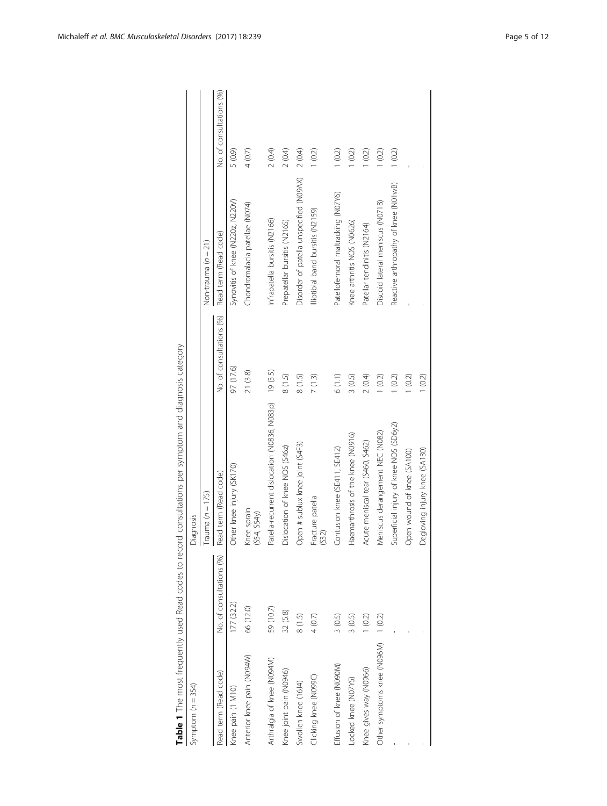<span id="page-5-0"></span>

| Symptom $(n = 354)$         |                          | Diagnosis                                             |                          |                                         |                          |
|-----------------------------|--------------------------|-------------------------------------------------------|--------------------------|-----------------------------------------|--------------------------|
|                             |                          | Trauma $(n = 175)$                                    |                          | Non-trauma $(n = 21)$                   |                          |
| Read term (Read code)       | No. of consultations (%) | Read term (Read code)                                 | No. of consultations (%) | Read term (Read code)                   | No. of consultations (%) |
| Knee pain (1 M10)           | 177(32.2)                | Other knee injury (SK170)                             | 97 (17.6)                | Synovitis of knee (N220z, N220V)        | (0.9)                    |
| Anterior knee pain (N094W)  | 66 (12.0)                | Knee sprain<br>(S54, S54)                             | 21 (3.8)                 | Chondromalacia patellae (N074)          | 4(0.7)                   |
| Arthralgia of knee (N094M)  | 59 (10.7)                | Patella-recurrent dislocation (N0836, N083p) 19 (3.5) |                          | Infrapatella bursitis (N2166)           | 2(0.4)                   |
| Knee joint pain (N0946)     | 32 (5.8)                 | Dislocation of knee NOS (S46z)                        | 8(1.5)                   | Prepatellar bursitis (N2165)            | 2(0.4)                   |
| Swollen knee (16J4)         | 8(1.5)                   | Open #-sublux knee joint (S4F3)                       | 8(1.5)                   | Disorder of patella unspecified (N09AX) | 2(0.4)                   |
| Clicking knee (N099C)       | 4(0.7)                   | Fracture patella<br>(532)                             | 7(1.3)                   | Illiotibial band bursitis (N2159)       | 1(0.2)                   |
| Effusion of knee (N090M)    | 3(0.5)                   | Contusion knee (SE411, SE412)                         | 6(1.1)                   | Patellofemoral maltracking (N07Y6)      | 1(0.2)                   |
| Locked knee (N07Y5)         | 3(0.5)                   | Haemarthrosis of the knee (N0916)                     | 3(0.5)                   | Knee arthritis NOS (N0626)              | (0.2)                    |
| Knee gives way (N0966)      | 1(0.2)                   | Acute meniscal tear (S460, S462)                      | 2(0.4)                   | Patellar tendinitis (N2164)             | (0.2)                    |
| Other symptoms knee (N096M) | 1(0.2)                   | Meniscus derangement NEC (N082)                       | 1(0.2)                   | Discoid lateral meniscus (N071B)        | 1(0.2)                   |
|                             |                          | Superficial injury of knee NOS (SD6y2)                | 1(0.2)                   | Reactive arthropathy of knee (N01wB)    | 1(0.2)                   |
|                             |                          | Open wound of knee (SA100)                            | (0.2)                    |                                         |                          |
|                             |                          | Degloving injury knee (SA130)                         | 1(0.2)                   |                                         |                          |
|                             |                          |                                                       |                          |                                         |                          |

Table 1 The most frequently used Read codes to record consultations per symptom and diagnosis category<br>Symptom (n = 354) Table 1 The most frequently used Read codes to record consultations per symptom and diagnosis category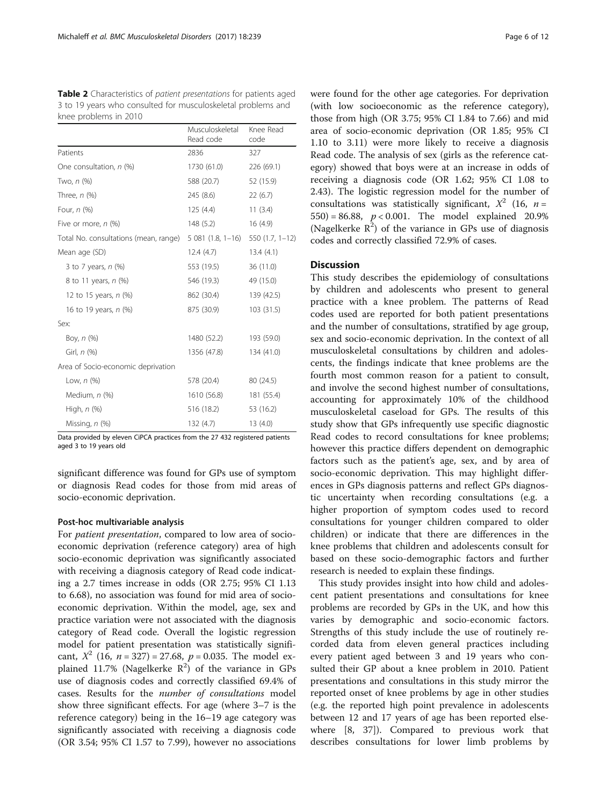<span id="page-6-0"></span>Table 2 Characteristics of patient presentations for patients aged 3 to 19 years who consulted for musculoskeletal problems and knee problems in 2010

|                                       | Musculoskeletal<br>Read code | Knee Read<br>code |
|---------------------------------------|------------------------------|-------------------|
| Patients                              | 2836                         | 327               |
| One consultation, n (%)               | 1730 (61.0)                  | 226 (69.1)        |
| Two, $n$ $%$                          | 588 (20.7)                   | 52 (15.9)         |
| Three, $n$ (%)                        | 245 (8.6)                    | 22(6.7)           |
| Four, n (%)                           | 125(4.4)                     | 11(3.4)           |
| Five or more, n (%)                   | 148(5.2)                     | 16(4.9)           |
| Total No. consultations (mean, range) | $5081(1.8, 1-16)$            | $550(1.7, 1-12)$  |
| Mean age (SD)                         | 12.4(4.7)                    | 13.4(4.1)         |
| 3 to 7 years, $n$ (%)                 | 553 (19.5)                   | 36 (11.0)         |
| 8 to 11 years, n (%)                  | 546 (19.3)                   | 49 (15.0)         |
| 12 to 15 years, $n$ (%)               | 862 (30.4)                   | 139 (42.5)        |
| 16 to 19 years, n (%)                 | 875 (30.9)                   | 103 (31.5)        |
| Sex:                                  |                              |                   |
| Boy, $n$ $(\%)$                       | 1480 (52.2)                  | 193 (59.0)        |
| Girl, $n$ $(\%)$                      | 1356 (47.8)                  | 134 (41.0)        |
| Area of Socio-economic deprivation    |                              |                   |
| Low, $n$ $(\%)$                       | 578 (20.4)                   | 80 (24.5)         |
| Medium, n (%)                         | 1610 (56.8)                  | 181 (55.4)        |
| High, n (%)                           | 516 (18.2)                   | 53 (16.2)         |
| Missing, $n$ (%)                      | 132 (4.7)                    | 13(4.0)           |

Data provided by eleven CiPCA practices from the 27 432 registered patients aged 3 to 19 years old

significant difference was found for GPs use of symptom or diagnosis Read codes for those from mid areas of socio-economic deprivation.

#### Post-hoc multivariable analysis

For patient presentation, compared to low area of socioeconomic deprivation (reference category) area of high socio-economic deprivation was significantly associated with receiving a diagnosis category of Read code indicating a 2.7 times increase in odds (OR 2.75; 95% CI 1.13 to 6.68), no association was found for mid area of socioeconomic deprivation. Within the model, age, sex and practice variation were not associated with the diagnosis category of Read code. Overall the logistic regression model for patient presentation was statistically significant,  $X^2$  (16,  $n = 327$ ) = 27.68,  $p = 0.035$ . The model explained 11.7% (Nagelkerke  $R^2$ ) of the variance in GPs use of diagnosis codes and correctly classified 69.4% of cases. Results for the number of consultations model show three significant effects. For age (where 3–7 is the reference category) being in the 16–19 age category was significantly associated with receiving a diagnosis code (OR 3.54; 95% CI 1.57 to 7.99), however no associations were found for the other age categories. For deprivation (with low socioeconomic as the reference category), those from high (OR 3.75; 95% CI 1.84 to 7.66) and mid area of socio-economic deprivation (OR 1.85; 95% CI 1.10 to 3.11) were more likely to receive a diagnosis Read code. The analysis of sex (girls as the reference category) showed that boys were at an increase in odds of receiving a diagnosis code (OR 1.62; 95% CI 1.08 to 2.43). The logistic regression model for the number of consultations was statistically significant,  $X^2$  (16,  $n =$ 550) = 86.88,  $p < 0.001$ . The model explained 20.9% (Nagelkerke  $R^2$ ) of the variance in GPs use of diagnosis codes and correctly classified 72.9% of cases.

#### Discussion

This study describes the epidemiology of consultations by children and adolescents who present to general practice with a knee problem. The patterns of Read codes used are reported for both patient presentations and the number of consultations, stratified by age group, sex and socio-economic deprivation. In the context of all musculoskeletal consultations by children and adolescents, the findings indicate that knee problems are the fourth most common reason for a patient to consult, and involve the second highest number of consultations, accounting for approximately 10% of the childhood musculoskeletal caseload for GPs. The results of this study show that GPs infrequently use specific diagnostic Read codes to record consultations for knee problems; however this practice differs dependent on demographic factors such as the patient's age, sex, and by area of socio-economic deprivation. This may highlight differences in GPs diagnosis patterns and reflect GPs diagnostic uncertainty when recording consultations (e.g. a higher proportion of symptom codes used to record consultations for younger children compared to older children) or indicate that there are differences in the knee problems that children and adolescents consult for based on these socio-demographic factors and further research is needed to explain these findings.

This study provides insight into how child and adolescent patient presentations and consultations for knee problems are recorded by GPs in the UK, and how this varies by demographic and socio-economic factors. Strengths of this study include the use of routinely recorded data from eleven general practices including every patient aged between 3 and 19 years who consulted their GP about a knee problem in 2010. Patient presentations and consultations in this study mirror the reported onset of knee problems by age in other studies (e.g. the reported high point prevalence in adolescents between 12 and 17 years of age has been reported elsewhere [[8,](#page-11-0) [37](#page-12-0)]). Compared to previous work that describes consultations for lower limb problems by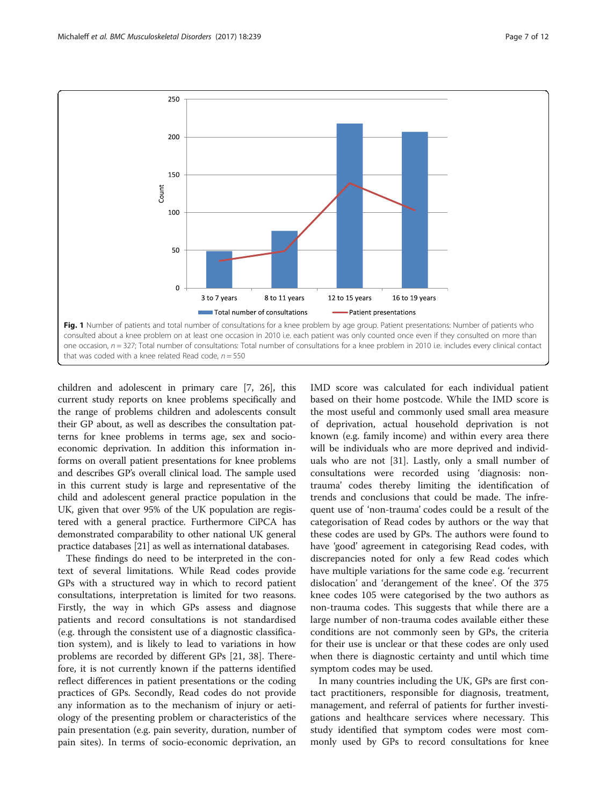<span id="page-7-0"></span>

children and adolescent in primary care [\[7, 26\]](#page-11-0), this current study reports on knee problems specifically and the range of problems children and adolescents consult their GP about, as well as describes the consultation patterns for knee problems in terms age, sex and socioeconomic deprivation. In addition this information informs on overall patient presentations for knee problems and describes GP's overall clinical load. The sample used in this current study is large and representative of the child and adolescent general practice population in the UK, given that over 95% of the UK population are registered with a general practice. Furthermore CiPCA has demonstrated comparability to other national UK general practice databases [\[21](#page-11-0)] as well as international databases.

These findings do need to be interpreted in the context of several limitations. While Read codes provide GPs with a structured way in which to record patient consultations, interpretation is limited for two reasons. Firstly, the way in which GPs assess and diagnose patients and record consultations is not standardised (e.g. through the consistent use of a diagnostic classification system), and is likely to lead to variations in how problems are recorded by different GPs [\[21](#page-11-0), [38\]](#page-12-0). Therefore, it is not currently known if the patterns identified reflect differences in patient presentations or the coding practices of GPs. Secondly, Read codes do not provide any information as to the mechanism of injury or aetiology of the presenting problem or characteristics of the pain presentation (e.g. pain severity, duration, number of pain sites). In terms of socio-economic deprivation, an IMD score was calculated for each individual patient based on their home postcode. While the IMD score is the most useful and commonly used small area measure of deprivation, actual household deprivation is not known (e.g. family income) and within every area there will be individuals who are more deprived and individuals who are not [[31\]](#page-11-0). Lastly, only a small number of consultations were recorded using 'diagnosis: nontrauma' codes thereby limiting the identification of trends and conclusions that could be made. The infrequent use of 'non-trauma' codes could be a result of the categorisation of Read codes by authors or the way that these codes are used by GPs. The authors were found to have 'good' agreement in categorising Read codes, with discrepancies noted for only a few Read codes which have multiple variations for the same code e.g. 'recurrent dislocation' and 'derangement of the knee'. Of the 375 knee codes 105 were categorised by the two authors as non-trauma codes. This suggests that while there are a large number of non-trauma codes available either these conditions are not commonly seen by GPs, the criteria for their use is unclear or that these codes are only used when there is diagnostic certainty and until which time symptom codes may be used.

In many countries including the UK, GPs are first contact practitioners, responsible for diagnosis, treatment, management, and referral of patients for further investigations and healthcare services where necessary. This study identified that symptom codes were most commonly used by GPs to record consultations for knee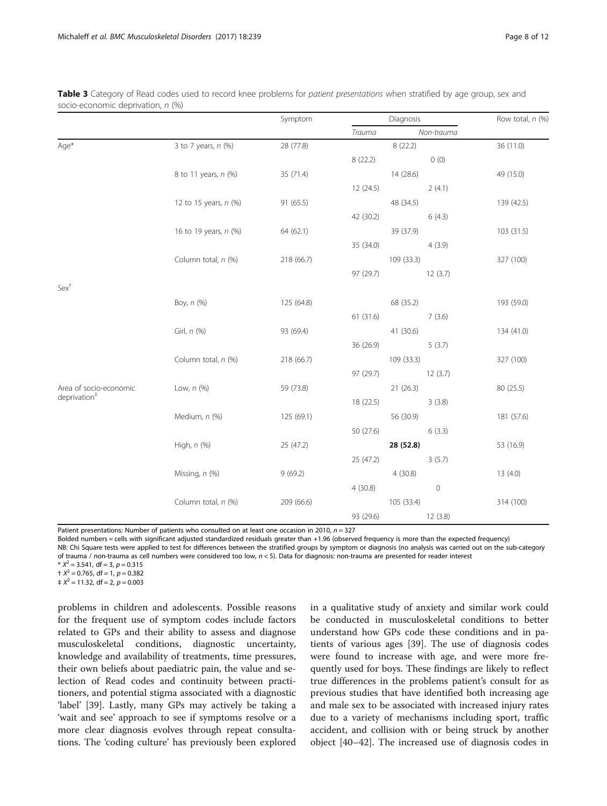|                                                    |                         | Symptom    | Diagnosis  |             | Row total, n (%) |
|----------------------------------------------------|-------------------------|------------|------------|-------------|------------------|
|                                                    |                         |            | Trauma     | Non-trauma  |                  |
| Age*                                               | 3 to 7 years, $n$ (%)   | 28 (77.8)  |            | 8 (22.2)    | 36 (11.0)        |
|                                                    |                         |            | 8(22.2)    | 0(0)        |                  |
|                                                    | 8 to 11 years, n (%)    | 35 (71.4)  |            | 14(28.6)    | 49 (15.0)        |
|                                                    |                         |            | 12(24.5)   | 2(4.1)      |                  |
|                                                    | 12 to 15 years, $n$ (%) | 91 (65.5)  |            | 48 (34.5)   | 139 (42.5)       |
|                                                    |                         |            | 42 (30.2)  | 6(4.3)      |                  |
|                                                    | 16 to 19 years, n (%)   | 64(62.1)   |            | 39 (37.9)   | 103 (31.5)       |
|                                                    |                         |            | 35 (34.0)  | 4(3.9)      |                  |
|                                                    | Column total, n (%)     | 218 (66.7) |            | 109(33.3)   | 327 (100)        |
|                                                    |                         |            | 97 (29.7)  | 12(3.7)     |                  |
| Sex <sup>†</sup>                                   |                         |            |            |             |                  |
|                                                    | Boy, n (%)              | 125 (64.8) |            | 68 (35.2)   | 193 (59.0)       |
|                                                    |                         |            | 61(31.6)   | 7(3.6)      |                  |
|                                                    | Girl, $n$ $(%)$         | 93 (69.4)  |            | 41 (30.6)   | 134 (41.0)       |
|                                                    |                         |            | 36 (26.9)  | 5(3.7)      |                  |
|                                                    | Column total, n (%)     | 218 (66.7) |            | 109 (33.3)  | 327 (100)        |
|                                                    |                         |            | 97 (29.7)  | 12(3.7)     |                  |
| Area of socio-economic<br>deprivation <sup>#</sup> | Low, $n$ $(\%)$         | 59 (73.8)  |            | 21(26.3)    | 80 (25.5)        |
|                                                    |                         |            | 18 (22.5)  | 3(3.8)      |                  |
|                                                    | Medium, n (%)           | 125 (69.1) |            | 56 (30.9)   | 181 (57.6)       |
|                                                    |                         |            | 50 (27.6)  | 6(3.3)      |                  |
|                                                    | High, n (%)             | 25 (47.2)  |            | 28 (52.8)   | 53 (16.9)        |
|                                                    |                         |            | 25 (47.2)  | 3(5.7)      |                  |
|                                                    | Missing, $n$ (%)        | 9(69.2)    |            | 4(30.8)     | 13(4.0)          |
|                                                    |                         |            | 4(30.8)    | $\mathbf 0$ |                  |
|                                                    | Column total, n (%)     | 209 (66.6) | 105 (33.4) |             | 314 (100)        |
|                                                    |                         |            | 93 (29.6)  | 12(3.8)     |                  |

<span id="page-8-0"></span>Table 3 Category of Read codes used to record knee problems for patient presentations when stratified by age group, sex and socio-economic deprivation, n (%)

Patient presentations: Number of patients who consulted on at least one occasion in 2010,  $n = 327$ 

Bolded numbers = cells with significant adjusted standardized residuals greater than +1.96 (observed frequency is more than the expected frequency)

NB: Chi Square tests were applied to test for differences between the stratified groups by symptom or diagnosis (no analysis was carried out on the sub-category of trauma / non-trauma as cell numbers were considered too low,  $n < 5$ ). Data for diagnosis: non-trauma are presented for reader interest

\*  $X^2$  = 3.541, df = 3, p = 0.315

- $\frac{1}{2}$  +  $\frac{\chi^2}{\chi^2}$  = 0.765, df = 1, p = 0.382
- $\neq$   $X^2$  = 11.32, df = 2, p = 0.003

problems in children and adolescents. Possible reasons for the frequent use of symptom codes include factors related to GPs and their ability to assess and diagnose musculoskeletal conditions, diagnostic uncertainty, knowledge and availability of treatments, time pressures, their own beliefs about paediatric pain, the value and selection of Read codes and continuity between practitioners, and potential stigma associated with a diagnostic 'label' [\[39](#page-12-0)]. Lastly, many GPs may actively be taking a 'wait and see' approach to see if symptoms resolve or a more clear diagnosis evolves through repeat consultations. The 'coding culture' has previously been explored in a qualitative study of anxiety and similar work could be conducted in musculoskeletal conditions to better understand how GPs code these conditions and in patients of various ages [\[39](#page-12-0)]. The use of diagnosis codes were found to increase with age, and were more frequently used for boys. These findings are likely to reflect true differences in the problems patient's consult for as previous studies that have identified both increasing age and male sex to be associated with increased injury rates due to a variety of mechanisms including sport, traffic accident, and collision with or being struck by another object [\[40](#page-12-0)–[42](#page-12-0)]. The increased use of diagnosis codes in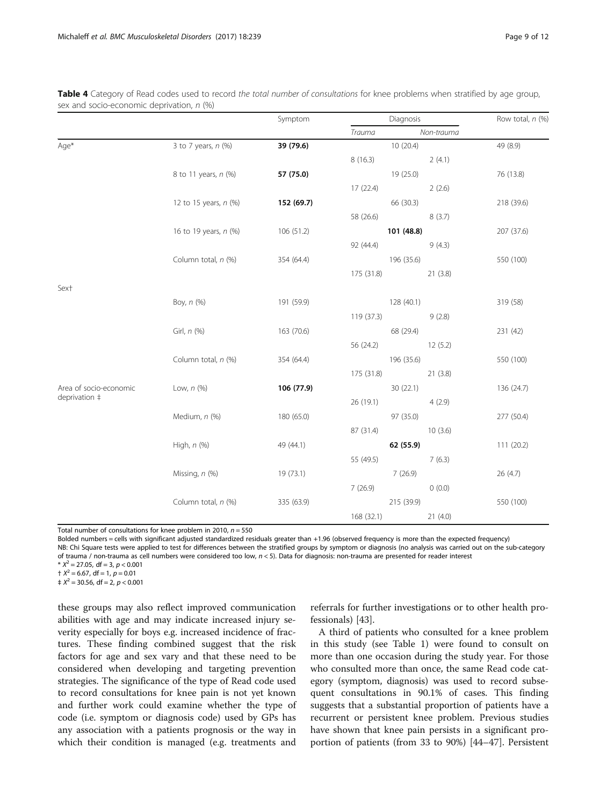|                                         |                         | Symptom    | Diagnosis  |            | Row total, $n$ (%) |
|-----------------------------------------|-------------------------|------------|------------|------------|--------------------|
|                                         |                         |            | Trauma     | Non-trauma |                    |
| Age*                                    | 3 to 7 years, $n$ (%)   | 39 (79.6)  |            | 10 (20.4)  | 49 (8.9)           |
|                                         |                         |            | 8(16.3)    | 2(4.1)     |                    |
|                                         | 8 to 11 years, n (%)    | 57 (75.0)  |            | 19 (25.0)  | 76 (13.8)          |
|                                         |                         |            | 17(22.4)   | 2(2.6)     |                    |
|                                         | 12 to 15 years, $n$ (%) | 152 (69.7) |            | 66 (30.3)  | 218 (39.6)         |
|                                         |                         |            | 58 (26.6)  | 8(3.7)     |                    |
|                                         | 16 to 19 years, n (%)   | 106 (51.2) |            | 101 (48.8) | 207 (37.6)         |
|                                         |                         |            | 92 (44.4)  | 9(4.3)     |                    |
|                                         | Column total, n (%)     | 354 (64.4) |            | 196 (35.6) | 550 (100)          |
|                                         |                         |            | 175 (31.8) | 21(3.8)    |                    |
| Sext                                    |                         |            |            |            |                    |
|                                         | Boy, $n$ $(\%)$         | 191 (59.9) |            | 128(40.1)  | 319 (58)           |
|                                         |                         |            | 119 (37.3) | 9(2.8)     |                    |
|                                         | Girl, n (%)             | 163 (70.6) |            | 68 (29.4)  | 231 (42)           |
|                                         |                         |            | 56 (24.2)  | 12(5.2)    |                    |
|                                         | Column total, n (%)     | 354 (64.4) |            | 196 (35.6) | 550 (100)          |
|                                         |                         |            | 175 (31.8) | 21(3.8)    |                    |
| Area of socio-economic<br>deprivation # | Low, $n$ $(\%)$         | 106 (77.9) |            | 30(22.1)   | 136 (24.7)         |
|                                         |                         |            | 26 (19.1)  | 4(2.9)     |                    |
|                                         | Medium, n (%)           | 180 (65.0) |            | 97 (35.0)  | 277 (50.4)         |
|                                         |                         |            | 87 (31.4)  | 10(3.6)    |                    |
|                                         | High, $n$ $(\%)$        | 49 (44.1)  |            | 62 (55.9)  | 111(20.2)          |
|                                         |                         |            | 55 (49.5)  | 7(6.3)     |                    |
|                                         | Missing, $n$ (%)        | 19 (73.1)  | 7(26.9)    |            | 26(4.7)            |
|                                         |                         |            | 7(26.9)    | 0(0.0)     |                    |
|                                         | Column total, n (%)     | 335 (63.9) | 215 (39.9) |            | 550 (100)          |
|                                         |                         |            | 168 (32.1) | 21(4.0)    |                    |

<span id="page-9-0"></span>Table 4 Category of Read codes used to record the total number of consultations for knee problems when stratified by age group, sex and socio-economic deprivation,  $n$  (%)

Total number of consultations for knee problem in 2010,  $n = 550$ 

Bolded numbers = cells with significant adjusted standardized residuals greater than +1.96 (observed frequency is more than the expected frequency)

NB: Chi Square tests were applied to test for differences between the stratified groups by symptom or diagnosis (no analysis was carried out on the sub-category of trauma / non-trauma as cell numbers were considered too low,  $n < 5$ ). Data for diagnosis: non-trauma are presented for reader interest

\*  $X^2 = 27.05$ , df = 3, p < 0.001

 $\frac{1}{2}$   $\frac{x^2}{6.67}$ , df = 1, p = 0.01

 $\frac{1}{2}$  X<sup>2</sup> = 30.56, df = 2, p < 0.001

these groups may also reflect improved communication abilities with age and may indicate increased injury severity especially for boys e.g. increased incidence of fractures. These finding combined suggest that the risk factors for age and sex vary and that these need to be considered when developing and targeting prevention strategies. The significance of the type of Read code used to record consultations for knee pain is not yet known and further work could examine whether the type of code (i.e. symptom or diagnosis code) used by GPs has any association with a patients prognosis or the way in which their condition is managed (e.g. treatments and

referrals for further investigations or to other health professionals) [[43](#page-12-0)].

A third of patients who consulted for a knee problem in this study (see Table [1\)](#page-5-0) were found to consult on more than one occasion during the study year. For those who consulted more than once, the same Read code category (symptom, diagnosis) was used to record subsequent consultations in 90.1% of cases. This finding suggests that a substantial proportion of patients have a recurrent or persistent knee problem. Previous studies have shown that knee pain persists in a significant proportion of patients (from 33 to 90%) [\[44](#page-12-0)–[47\]](#page-12-0). Persistent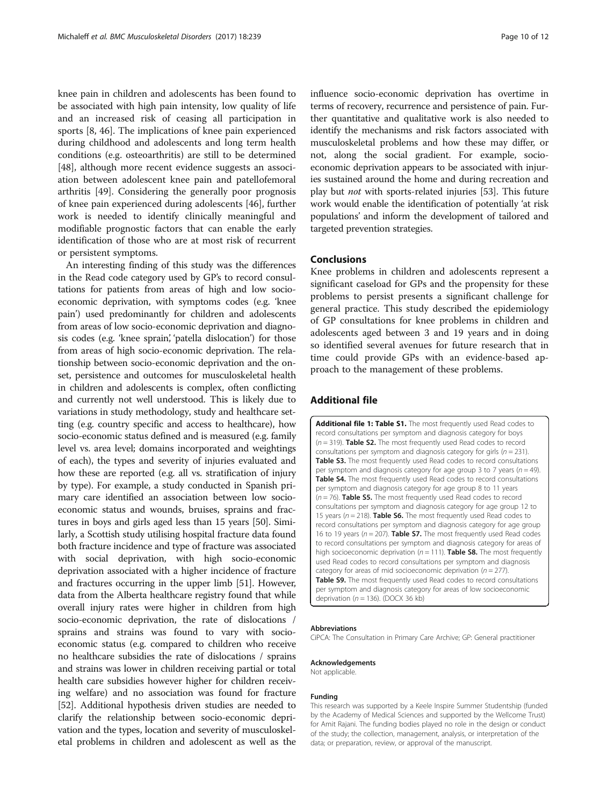<span id="page-10-0"></span>knee pain in children and adolescents has been found to be associated with high pain intensity, low quality of life and an increased risk of ceasing all participation in sports [[8,](#page-11-0) [46\]](#page-12-0). The implications of knee pain experienced during childhood and adolescents and long term health conditions (e.g. osteoarthritis) are still to be determined [[48\]](#page-12-0), although more recent evidence suggests an association between adolescent knee pain and patellofemoral arthritis [\[49](#page-12-0)]. Considering the generally poor prognosis of knee pain experienced during adolescents [\[46\]](#page-12-0), further work is needed to identify clinically meaningful and modifiable prognostic factors that can enable the early identification of those who are at most risk of recurrent or persistent symptoms.

An interesting finding of this study was the differences in the Read code category used by GP's to record consultations for patients from areas of high and low socioeconomic deprivation, with symptoms codes (e.g. 'knee pain') used predominantly for children and adolescents from areas of low socio-economic deprivation and diagnosis codes (e.g. 'knee sprain', 'patella dislocation') for those from areas of high socio-economic deprivation. The relationship between socio-economic deprivation and the onset, persistence and outcomes for musculoskeletal health in children and adolescents is complex, often conflicting and currently not well understood. This is likely due to variations in study methodology, study and healthcare setting (e.g. country specific and access to healthcare), how socio-economic status defined and is measured (e.g. family level vs. area level; domains incorporated and weightings of each), the types and severity of injuries evaluated and how these are reported (e.g. all vs. stratification of injury by type). For example, a study conducted in Spanish primary care identified an association between low socioeconomic status and wounds, bruises, sprains and fractures in boys and girls aged less than 15 years [[50\]](#page-12-0). Similarly, a Scottish study utilising hospital fracture data found both fracture incidence and type of fracture was associated with social deprivation, with high socio-economic deprivation associated with a higher incidence of fracture and fractures occurring in the upper limb [[51](#page-12-0)]. However, data from the Alberta healthcare registry found that while overall injury rates were higher in children from high socio-economic deprivation, the rate of dislocations / sprains and strains was found to vary with socioeconomic status (e.g. compared to children who receive no healthcare subsidies the rate of dislocations / sprains and strains was lower in children receiving partial or total health care subsidies however higher for children receiving welfare) and no association was found for fracture [[52](#page-12-0)]. Additional hypothesis driven studies are needed to clarify the relationship between socio-economic deprivation and the types, location and severity of musculoskeletal problems in children and adolescent as well as the

influence socio-economic deprivation has overtime in terms of recovery, recurrence and persistence of pain. Further quantitative and qualitative work is also needed to identify the mechanisms and risk factors associated with musculoskeletal problems and how these may differ, or not, along the social gradient. For example, socioeconomic deprivation appears to be associated with injuries sustained around the home and during recreation and play but not with sports-related injuries [\[53\]](#page-12-0). This future work would enable the identification of potentially 'at risk populations' and inform the development of tailored and targeted prevention strategies.

#### **Conclusions**

Knee problems in children and adolescents represent a significant caseload for GPs and the propensity for these problems to persist presents a significant challenge for general practice. This study described the epidemiology of GP consultations for knee problems in children and adolescents aged between 3 and 19 years and in doing so identified several avenues for future research that in time could provide GPs with an evidence-based approach to the management of these problems.

#### Additional file

[Additional file 1: Table S1.](dx.doi.org/10.1186/s12891-017-1586-1) The most frequently used Read codes to record consultations per symptom and diagnosis category for boys  $(n = 319)$ . Table S2. The most frequently used Read codes to record consultations per symptom and diagnosis category for girls ( $n = 231$ ). Table S3. The most frequently used Read codes to record consultations per symptom and diagnosis category for age group 3 to 7 years ( $n = 49$ ). Table S4. The most frequently used Read codes to record consultations per symptom and diagnosis category for age group 8 to 11 years  $(n = 76)$ . Table S5. The most frequently used Read codes to record consultations per symptom and diagnosis category for age group 12 to 15 years ( $n = 218$ ). Table S6. The most frequently used Read codes to record consultations per symptom and diagnosis category for age group 16 to 19 years ( $n = 207$ ). Table S7. The most frequently used Read codes to record consultations per symptom and diagnosis category for areas of high socioeconomic deprivation ( $n = 111$ ). Table S8. The most frequently used Read codes to record consultations per symptom and diagnosis category for areas of mid socioeconomic deprivation  $(n = 277)$ . Table S9. The most frequently used Read codes to record consultations per symptom and diagnosis category for areas of low socioeconomic deprivation ( $n = 136$ ). (DOCX 36 kb)

#### Abbreviations

CiPCA: The Consultation in Primary Care Archive; GP: General practitioner

#### Acknowledgements

Not applicable.

#### Funding

This research was supported by a Keele Inspire Summer Studentship (funded by the Academy of Medical Sciences and supported by the Wellcome Trust) for Amit Rajani. The funding bodies played no role in the design or conduct of the study; the collection, management, analysis, or interpretation of the data; or preparation, review, or approval of the manuscript.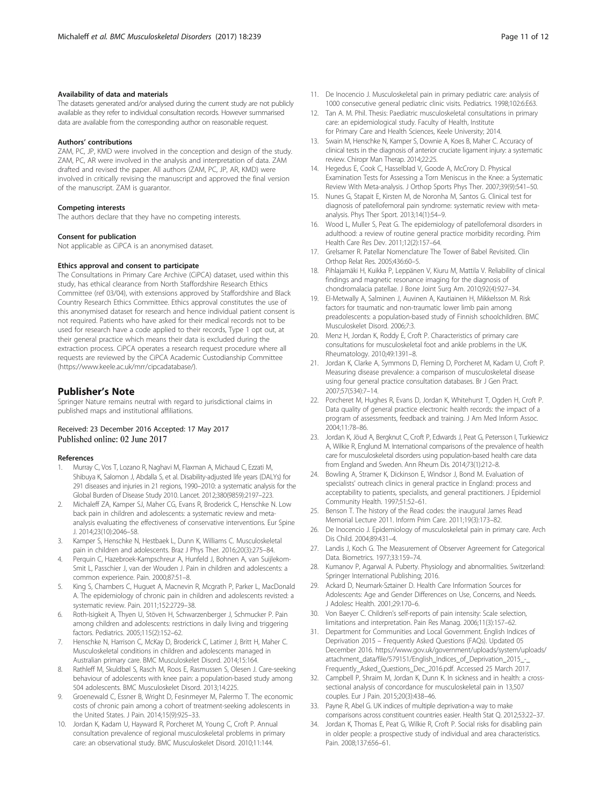#### <span id="page-11-0"></span>Availability of data and materials

The datasets generated and/or analysed during the current study are not publicly available as they refer to individual consultation records. However summarised data are available from the corresponding author on reasonable request.

#### Authors' contributions

ZAM, PC, JP, KMD were involved in the conception and design of the study. ZAM, PC, AR were involved in the analysis and interpretation of data. ZAM drafted and revised the paper. All authors (ZAM, PC, JP, AR, KMD) were involved in critically revising the manuscript and approved the final version of the manuscript. ZAM is guarantor.

#### Competing interests

The authors declare that they have no competing interests.

#### Consent for publication

Not applicable as CiPCA is an anonymised dataset.

#### Ethics approval and consent to participate

The Consultations in Primary Care Archive (CiPCA) dataset, used within this study, has ethical clearance from North Staffordshire Research Ethics Committee (ref 03/04), with extensions approved by Staffordshire and Black Country Research Ethics Committee. Ethics approval constitutes the use of this anonymised dataset for research and hence individual patient consent is not required. Patients who have asked for their medical records not to be used for research have a code applied to their records, Type 1 opt out, at their general practice which means their data is excluded during the extraction process. CiPCA operates a research request procedure where all requests are reviewed by the CiPCA Academic Custodianship Committee ([https://www.keele.ac.uk/mrr/cipcadatabase/\)](https://www.keele.ac.uk/mrr/cipcadatabase/).

#### Publisher's Note

Springer Nature remains neutral with regard to jurisdictional claims in published maps and institutional affiliations.

#### Received: 23 December 2016 Accepted: 17 May 2017 Published online: 02 June 2017

#### References

- 1. Murray C, Vos T, Lozano R, Naghavi M, Flaxman A, Michaud C, Ezzati M, Shibuya K, Salomon J, Abdalla S, et al. Disability-adjusted life years (DALYs) for 291 diseases and injuries in 21 regions, 1990–2010: a systematic analysis for the Global Burden of Disease Study 2010. Lancet. 2012;380(9859):2197–223.
- 2. Michaleff ZA, Kamper SJ, Maher CG, Evans R, Broderick C, Henschke N. Low back pain in children and adolescents: a systematic review and metaanalysis evaluating the effectiveness of conservative interventions. Eur Spine J. 2014;23(10):2046–58.
- 3. Kamper S, Henschke N, Hestbaek L, Dunn K, Williams C. Musculoskeletal pain in children and adolescents. Braz J Phys Ther. 2016;20(3):275–84.
- 4. Perquin C, Hazebroek-Kampschreur A, Hunfeld J, Bohnen A, van Suijlekom-Smit L, Passchier J, van der Wouden J. Pain in children and adolescents: a common experience. Pain. 2000;87:51–8.
- 5. King S, Chambers C, Huguet A, Macnevin R, Mcgrath P, Parker L, MacDonald A. The epidemiology of chronic pain in children and adolescents revisted: a systematic review. Pain. 2011;152:2729–38.
- 6. Roth-Isigkeit A, Thyen U, Stöven H, Schwarzenberger J, Schmucker P. Pain among children and adolescents: restrictions in daily living and triggering factors. Pediatrics. 2005;115(2):152–62.
- 7. Henschke N, Harrison C, McKay D, Broderick C, Latimer J, Britt H, Maher C. Musculoskeletal conditions in children and adolescents managed in Australian primary care. BMC Musculoskelet Disord. 2014;15:164.
- 8. Rathleff M, Skuldbøl S, Rasch M, Roos E, Rasmussen S, Olesen J. Care-seeking behaviour of adolescents with knee pain: a population-based study among 504 adolescents. BMC Musculoskelet Disord. 2013;14:225.
- 9. Groenewald C, Essner B, Wright D, Fesinmeyer M, Palermo T. The economic costs of chronic pain among a cohort of treatment-seeking adolescents in the United States. J Pain. 2014;15(9):925–33.
- 10. Jordan K, Kadam U, Hayward R, Porcheret M, Young C, Croft P. Annual consultation prevalence of regional musculoskeletal problems in primary care: an observational study. BMC Musculoskelet Disord. 2010;11:144.
- 11. De Inocencio J. Musculoskeletal pain in primary pediatric care: analysis of 1000 consecutive general pediatric clinic visits. Pediatrics. 1998;102:6:E63.
- 12. Tan A. M. Phil. Thesis: Paediatric musculoskeletal consultations in primary care: an epidemiological study. Faculty of Health, Institute for Primary Care and Health Sciences, Keele University; 2014.
- 13. Swain M, Henschke N, Kamper S, Downie A, Koes B, Maher C. Accuracy of clinical tests in the diagnosis of anterior cruciate ligament injury: a systematic review. Chiropr Man Therap. 2014;22:25.
- 14. Hegedus E, Cook C, Hasselblad V, Goode A, McCrory D. Physical Examination Tests for Assessing a Torn Meniscus in the Knee: a Systematic Review With Meta-analysis. J Orthop Sports Phys Ther. 2007;39(9):541–50.
- 15. Nunes G, Stapait E, Kirsten M, de Noronha M, Santos G. Clinical test for diagnosis of patellofemoral pain syndrome: systematic review with metaanalysis. Phys Ther Sport. 2013;14(1):54–9.
- 16. Wood L, Muller S, Peat G. The epidemiology of patellofemoral disorders in adulthood: a review of routine general practice morbidity recording. Prim Health Care Res Dev. 2011;12(2):157–64.
- 17. Grelsamer R. Patellar Nomenclature The Tower of Babel Revisited. Clin Orthop Relat Res. 2005;436:60–5.
- 18. Pihlajamäki H, Kuikka P, Leppänen V, Kiuru M, Mattila V. Reliability of clinical findings and magnetic resonance imaging for the diagnosis of chondromalacia patellae. J Bone Joint Surg Am. 2010;92(4):927–34.
- 19. El-Metwally A, Salminen J, Auvinen A, Kautiainen H, Mikkelsson M. Risk factors for traumatic and non-traumatic lower limb pain among preadolescents: a population-based study of Finnish schoolchildren. BMC Musculoskelet Disord. 2006;7:3.
- 20. Menz H, Jordan K, Roddy E, Croft P. Characteristics of primary care consultations for musculoskeletal foot and ankle problems in the UK. Rheumatology. 2010;49:1391–8.
- 21. Jordan K, Clarke A, Symmons D, Fleming D, Porcheret M, Kadam U, Croft P. Measuring disease prevalence: a comparison of musculoskeletal disease using four general practice consultation databases. Br J Gen Pract. 2007;57(534):7–14.
- 22. Porcheret M, Hughes R, Evans D, Jordan K, Whitehurst T, Ogden H, Croft P. Data quality of general practice electronic health records: the impact of a program of assessments, feedback and training. J Am Med Inform Assoc. 2004;11:78–86.
- 23. Jordan K, Jöud A, Bergknut C, Croft P, Edwards J, Peat G, Petersson I, Turkiewicz A, Wilkie R, Englund M. International comparisons of the prevalence of health care for musculoskeletal disorders using population-based health care data from England and Sweden. Ann Rheum Dis. 2014;73(1):212–8.
- 24. Bowling A, Stramer K, Dickinson E, Windsor J, Bond M. Evaluation of specialists' outreach clinics in general practice in England: process and acceptability to patients, specialists, and general practitioners. J Epidemiol Community Health. 1997;51:52–61.
- 25. Benson T. The history of the Read codes: the inaugural James Read Memorial Lecture 2011. Inform Prim Care. 2011;19(3):173–82.
- 26. De Inocencio J. Epidemiology of musculoskeletal pain in primary care. Arch Dis Child. 2004;89:431–4.
- 27. Landis J, Koch G. The Measurement of Observer Agreement for Categorical Data. Biometrics. 1977;33:159–74.
- 28. Kumanov P, Agarwal A. Puberty. Physiology and abnormalities. Switzerland: Springer International Publishing; 2016.
- 29. Ackard D, Neumark-Sztainer D. Health Care Information Sources for Adolescents: Age and Gender Differences on Use, Concerns, and Needs. J Adolesc Health. 2001;29:170–6.
- 30. Von Baeyer C. Children's self-reports of pain intensity: Scale selection, limitations and interpretation. Pain Res Manag. 2006;11(3):157–62.
- 31. Department for Communities and Local Government. English Indices of Deprivation 2015 – Frequently Asked Questions (FAQs). Updated 05 December 2016. [https://www.gov.uk/government/uploads/system/uploads/](https://www.gov.uk/government/uploads/system/uploads/attachment_data/file/579151/English_Indices_of_Deprivation_2015_-_Frequently_Asked_Questions_Dec_2016.pdf) attachment\_data/file/579151/English\_Indices\_of\_Deprivation\_2015\_-[Frequently\\_Asked\\_Questions\\_Dec\\_2016.pdf.](https://www.gov.uk/government/uploads/system/uploads/attachment_data/file/579151/English_Indices_of_Deprivation_2015_-_Frequently_Asked_Questions_Dec_2016.pdf) Accessed 25 March 2017.
- 32. Campbell P, Shraim M, Jordan K, Dunn K. In sickness and in health: a crosssectional analysis of concordance for musculoskeletal pain in 13,507 couples. Eur J Pain. 2015;20(3):438–46.
- 33. Payne R, Abel G. UK indices of multiple deprivation-a way to make comparisons across constituent countries easier. Health Stat Q. 2012;53:22–37.
- 34. Jordan K, Thomas E, Peat G, Wilkie R, Croft P. Social risks for disabling pain in older people: a prospective study of individual and area characteristics. Pain. 2008;137:656–61.